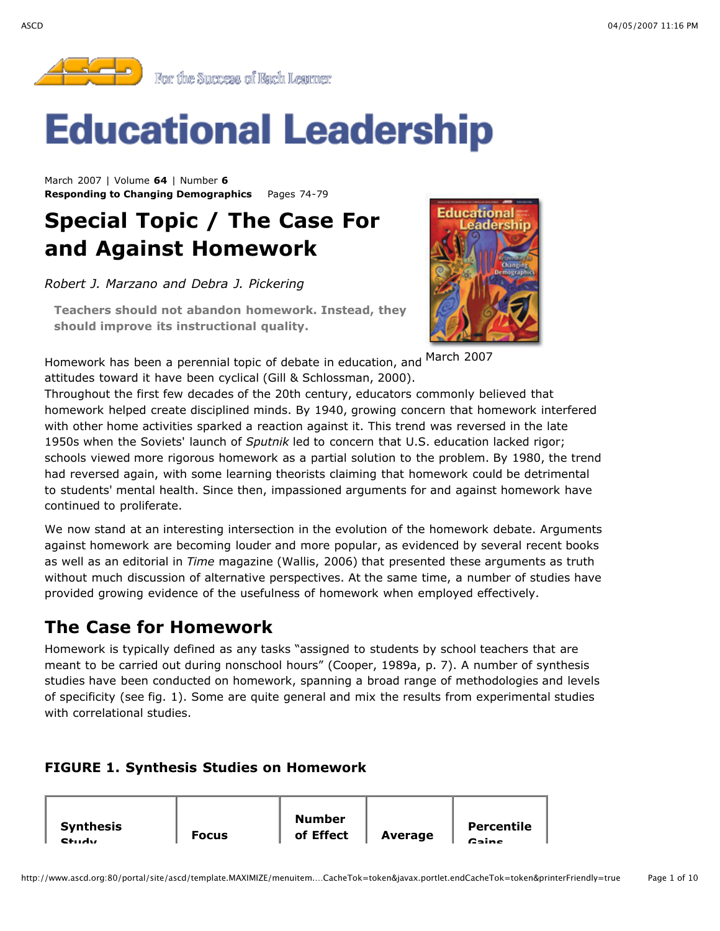

# **Educational Leadership**

March 2007 | Volume **64** | Number **6 Responding to Changing Demographics** Pages 74-79

# **Special Topic / The Case For and Against Homework**

*Robert J. Marzano and Debra J. Pickering*

**Teachers should not abandon homework. Instead, they should improve its instructional quality.**



Homework has been a perennial topic of debate in education, and March 2007 attitudes toward it have been cyclical (Gill & Schlossman, 2000).

Throughout the first few decades of the 20th century, educators commonly believed that homework helped create disciplined minds. By 1940, growing concern that homework interfered with other home activities sparked a reaction against it. This trend was reversed in the late 1950s when the Soviets' launch of *Sputnik* led to concern that U.S. education lacked rigor; schools viewed more rigorous homework as a partial solution to the problem. By 1980, the trend had reversed again, with some learning theorists claiming that homework could be detrimental to students' mental health. Since then, impassioned arguments for and against homework have continued to proliferate.

We now stand at an interesting intersection in the evolution of the homework debate. Arguments against homework are becoming louder and more popular, as evidenced by several recent books as well as an editorial in *Time* magazine (Wallis, 2006) that presented these arguments as truth without much discussion of alternative perspectives. At the same time, a number of studies have provided growing evidence of the usefulness of homework when employed effectively.

# **The Case for Homework**

Homework is typically defined as any tasks "assigned to students by school teachers that are meant to be carried out during nonschool hours" (Cooper, 1989a, p. 7). A number of synthesis studies have been conducted on homework, spanning a broad range of methodologies and levels of specificity (see fig. 1). Some are quite general and mix the results from experimental studies with correlational studies.

#### **FIGURE 1. Synthesis Studies on Homework**

| <b>Synthesis</b><br><b>Focus</b><br><b>Ctudy</b> | <b>Number</b><br>of Effect | Average | Percentile<br>Cainc |
|--------------------------------------------------|----------------------------|---------|---------------------|
|--------------------------------------------------|----------------------------|---------|---------------------|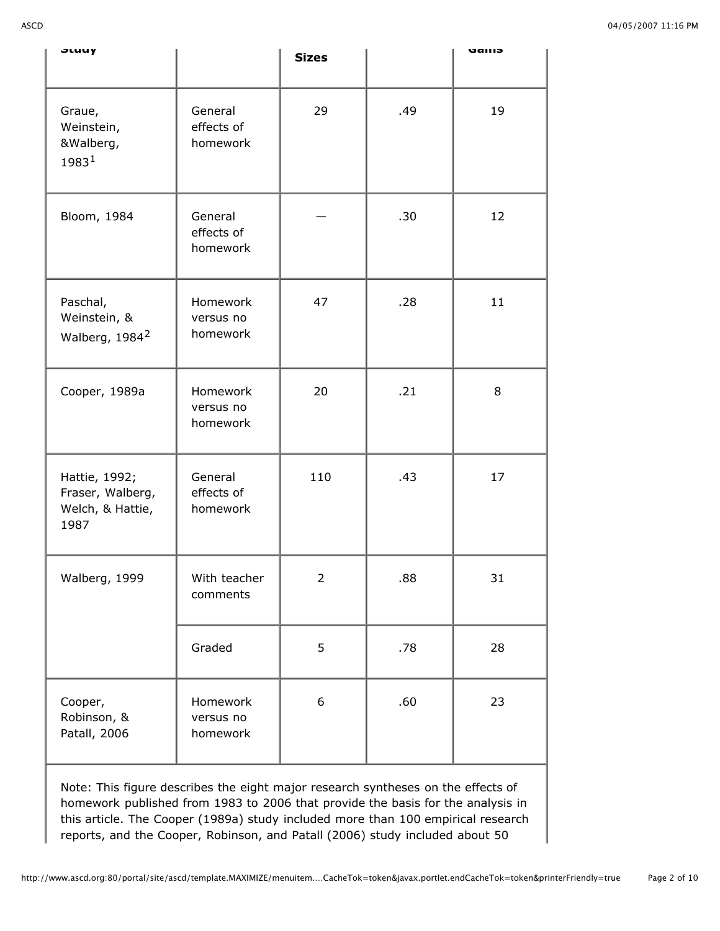| <b>Juuy</b>                                                   |                                          | <b>Sizes</b>   |     | uallis |
|---------------------------------------------------------------|------------------------------------------|----------------|-----|--------|
| Graue,<br>Weinstein,<br>&Walberg,<br>1983 <sup>1</sup>        | General<br>effects of<br>homework        | 29             | .49 | 19     |
| Bloom, 1984                                                   | General<br>effects of<br>homework        |                | .30 | 12     |
| Paschal,<br>Weinstein, &<br>Walberg, 1984 <sup>2</sup>        | <b>Homework</b><br>versus no<br>homework | 47             | .28 | 11     |
| Cooper, 1989a                                                 | Homework<br>versus no<br>homework        | 20             | .21 | 8      |
| Hattie, 1992;<br>Fraser, Walberg,<br>Welch, & Hattie,<br>1987 | General<br>effects of<br>homework        | 110            | .43 | 17     |
| Walberg, 1999                                                 | With teacher<br>comments                 | $\overline{2}$ | .88 | 31     |
|                                                               | Graded                                   | 5              | .78 | 28     |
| Cooper,<br>Robinson, &<br>Patall, 2006                        | Homework<br>versus no<br>homework        | 6              | .60 | 23     |

Note: This figure describes the eight major research syntheses on the effects of homework published from 1983 to 2006 that provide the basis for the analysis in this article. The Cooper (1989a) study included more than 100 empirical research reports, and the Cooper, Robinson, and Patall (2006) study included about 50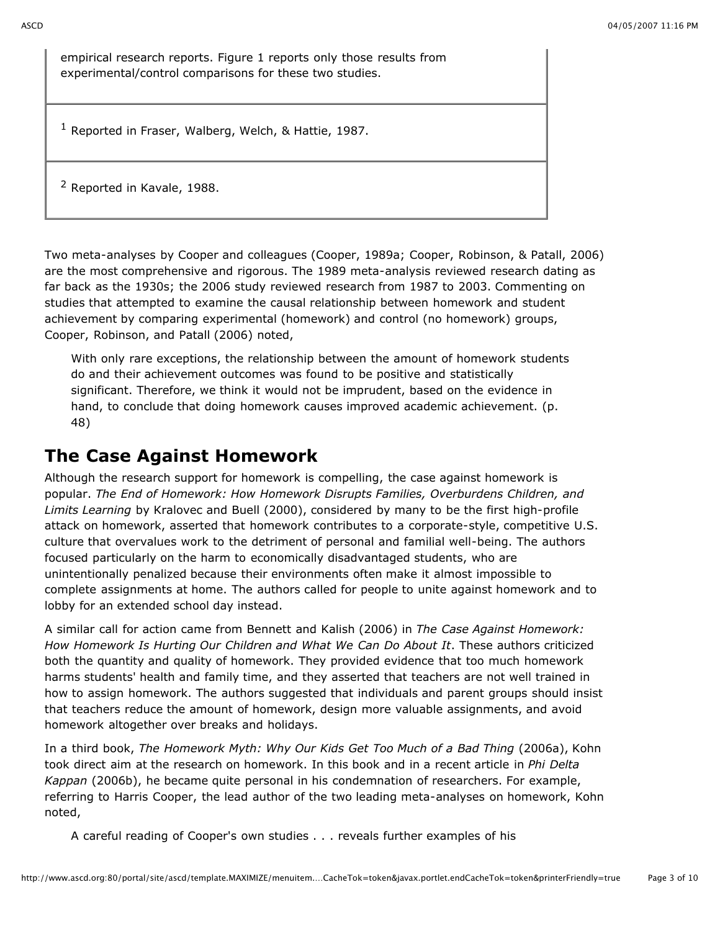empirical research reports. Figure 1 reports only those results from experimental/control comparisons for these two studies.

 $<sup>1</sup>$  Reported in Fraser, Walberg, Welch, & Hattie, 1987.</sup>

<sup>2</sup> Reported in Kavale, 1988.

Two meta-analyses by Cooper and colleagues (Cooper, 1989a; Cooper, Robinson, & Patall, 2006) are the most comprehensive and rigorous. The 1989 meta-analysis reviewed research dating as far back as the 1930s; the 2006 study reviewed research from 1987 to 2003. Commenting on studies that attempted to examine the causal relationship between homework and student achievement by comparing experimental (homework) and control (no homework) groups, Cooper, Robinson, and Patall (2006) noted,

With only rare exceptions, the relationship between the amount of homework students do and their achievement outcomes was found to be positive and statistically significant. Therefore, we think it would not be imprudent, based on the evidence in hand, to conclude that doing homework causes improved academic achievement. (p. 48)

#### **The Case Against Homework**

Although the research support for homework is compelling, the case against homework is popular. *The End of Homework: How Homework Disrupts Families, Overburdens Children, and Limits Learning* by Kralovec and Buell (2000), considered by many to be the first high-profile attack on homework, asserted that homework contributes to a corporate-style, competitive U.S. culture that overvalues work to the detriment of personal and familial well-being. The authors focused particularly on the harm to economically disadvantaged students, who are unintentionally penalized because their environments often make it almost impossible to complete assignments at home. The authors called for people to unite against homework and to lobby for an extended school day instead.

A similar call for action came from Bennett and Kalish (2006) in *The Case Against Homework: How Homework Is Hurting Our Children and What We Can Do About It*. These authors criticized both the quantity and quality of homework. They provided evidence that too much homework harms students' health and family time, and they asserted that teachers are not well trained in how to assign homework. The authors suggested that individuals and parent groups should insist that teachers reduce the amount of homework, design more valuable assignments, and avoid homework altogether over breaks and holidays.

In a third book, *The Homework Myth: Why Our Kids Get Too Much of a Bad Thing* (2006a), Kohn took direct aim at the research on homework. In this book and in a recent article in *Phi Delta Kappan* (2006b), he became quite personal in his condemnation of researchers. For example, referring to Harris Cooper, the lead author of the two leading meta-analyses on homework, Kohn noted,

A careful reading of Cooper's own studies . . . reveals further examples of his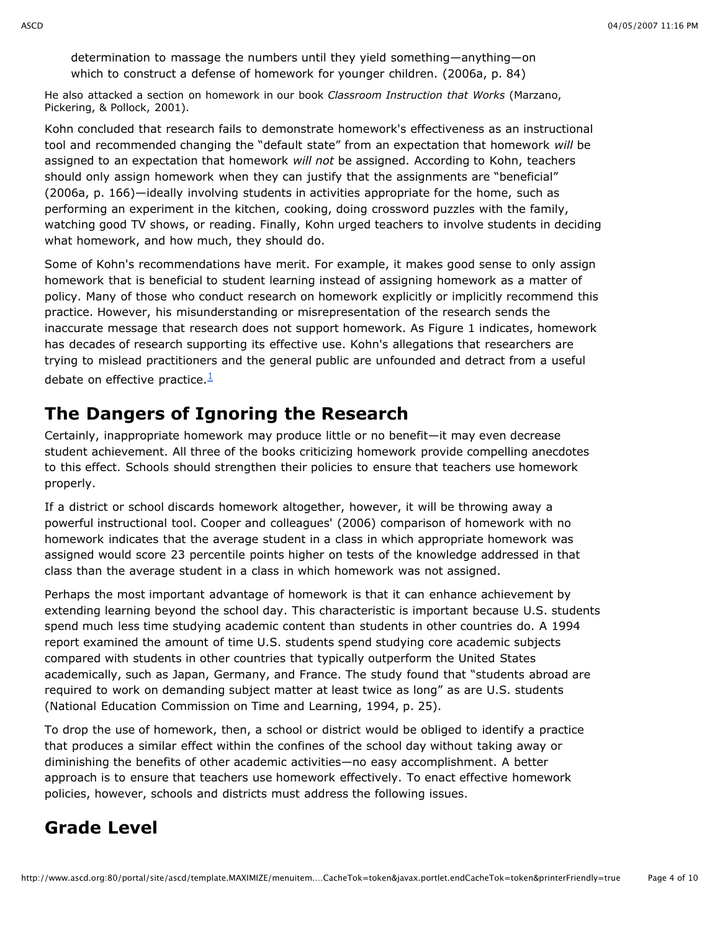determination to massage the numbers until they yield something—anything—on which to construct a defense of homework for younger children. (2006a, p. 84)

He also attacked a section on homework in our book *Classroom Instruction that Works* (Marzano, Pickering, & Pollock, 2001).

Kohn concluded that research fails to demonstrate homework's effectiveness as an instructional tool and recommended changing the "default state" from an expectation that homework *will* be assigned to an expectation that homework *will not* be assigned. According to Kohn, teachers should only assign homework when they can justify that the assignments are "beneficial" (2006a, p. 166)—ideally involving students in activities appropriate for the home, such as performing an experiment in the kitchen, cooking, doing crossword puzzles with the family, watching good TV shows, or reading. Finally, Kohn urged teachers to involve students in deciding what homework, and how much, they should do.

Some of Kohn's recommendations have merit. For example, it makes good sense to only assign homework that is beneficial to student learning instead of assigning homework as a matter of policy. Many of those who conduct research on homework explicitly or implicitly recommend this practice. However, his misunderstanding or misrepresentation of the research sends the inaccurate message that research does not support homework. As Figure 1 indicates, homework has decades of research supporting its effective use. Kohn's allegations that researchers are trying to mislead practitioners and the general public are unfounded and detract from a useful debate on effective practice. $\frac{1}{2}$ 

## **The Dangers of Ignoring the Research**

Certainly, inappropriate homework may produce little or no benefit—it may even decrease student achievement. All three of the books criticizing homework provide compelling anecdotes to this effect. Schools should strengthen their policies to ensure that teachers use homework properly.

If a district or school discards homework altogether, however, it will be throwing away a powerful instructional tool. Cooper and colleagues' (2006) comparison of homework with no homework indicates that the average student in a class in which appropriate homework was assigned would score 23 percentile points higher on tests of the knowledge addressed in that class than the average student in a class in which homework was not assigned.

Perhaps the most important advantage of homework is that it can enhance achievement by extending learning beyond the school day. This characteristic is important because U.S. students spend much less time studying academic content than students in other countries do. A 1994 report examined the amount of time U.S. students spend studying core academic subjects compared with students in other countries that typically outperform the United States academically, such as Japan, Germany, and France. The study found that "students abroad are required to work on demanding subject matter at least twice as long" as are U.S. students (National Education Commission on Time and Learning, 1994, p. 25).

To drop the use of homework, then, a school or district would be obliged to identify a practice that produces a similar effect within the confines of the school day without taking away or diminishing the benefits of other academic activities—no easy accomplishment. A better approach is to ensure that teachers use homework effectively. To enact effective homework policies, however, schools and districts must address the following issues.

# **Grade Level**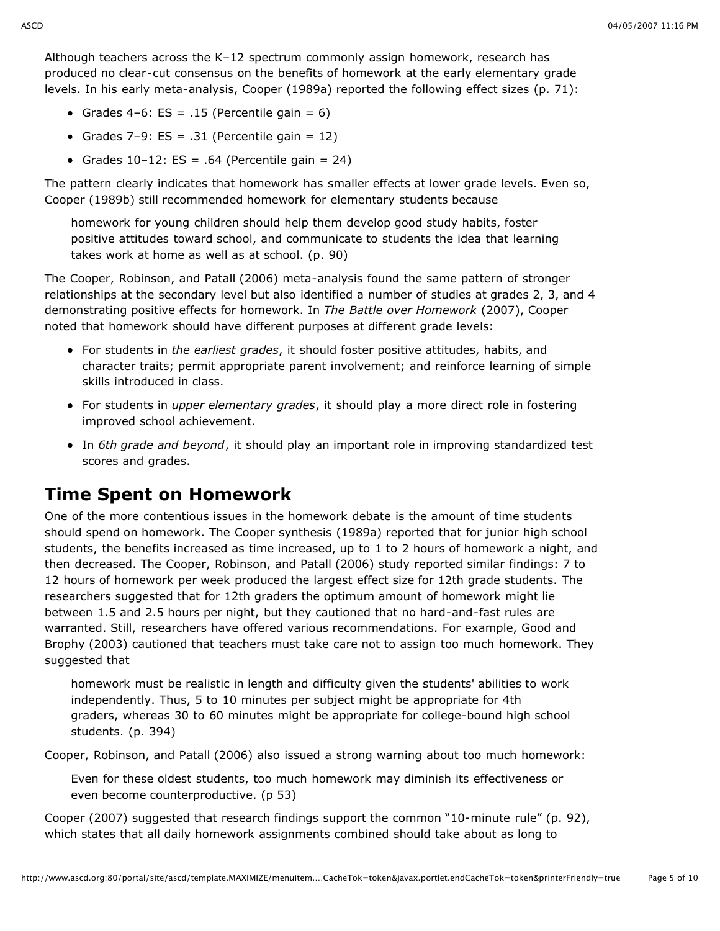Although teachers across the K–12 spectrum commonly assign homework, research has produced no clear-cut consensus on the benefits of homework at the early elementary grade levels. In his early meta-analysis, Cooper (1989a) reported the following effect sizes (p. 71):

- Grades  $4-6$ : ES = .15 (Percentile gain = 6)
- Grades  $7-9$ : ES = .31 (Percentile gain = 12)
- Grades  $10-12$ : ES = .64 (Percentile gain = 24)

The pattern clearly indicates that homework has smaller effects at lower grade levels. Even so, Cooper (1989b) still recommended homework for elementary students because

homework for young children should help them develop good study habits, foster positive attitudes toward school, and communicate to students the idea that learning takes work at home as well as at school. (p. 90)

The Cooper, Robinson, and Patall (2006) meta-analysis found the same pattern of stronger relationships at the secondary level but also identified a number of studies at grades 2, 3, and 4 demonstrating positive effects for homework. In *The Battle over Homework* (2007), Cooper noted that homework should have different purposes at different grade levels:

- For students in *the earliest grades*, it should foster positive attitudes, habits, and character traits; permit appropriate parent involvement; and reinforce learning of simple skills introduced in class.
- For students in *upper elementary grades*, it should play a more direct role in fostering improved school achievement.
- In *6th grade and beyond*, it should play an important role in improving standardized test scores and grades.

#### **Time Spent on Homework**

One of the more contentious issues in the homework debate is the amount of time students should spend on homework. The Cooper synthesis (1989a) reported that for junior high school students, the benefits increased as time increased, up to 1 to 2 hours of homework a night, and then decreased. The Cooper, Robinson, and Patall (2006) study reported similar findings: 7 to 12 hours of homework per week produced the largest effect size for 12th grade students. The researchers suggested that for 12th graders the optimum amount of homework might lie between 1.5 and 2.5 hours per night, but they cautioned that no hard-and-fast rules are warranted. Still, researchers have offered various recommendations. For example, Good and Brophy (2003) cautioned that teachers must take care not to assign too much homework. They suggested that

homework must be realistic in length and difficulty given the students' abilities to work independently. Thus, 5 to 10 minutes per subject might be appropriate for 4th graders, whereas 30 to 60 minutes might be appropriate for college-bound high school students. (p. 394)

Cooper, Robinson, and Patall (2006) also issued a strong warning about too much homework:

Even for these oldest students, too much homework may diminish its effectiveness or even become counterproductive. (p 53)

Cooper (2007) suggested that research findings support the common "10-minute rule" (p. 92), which states that all daily homework assignments combined should take about as long to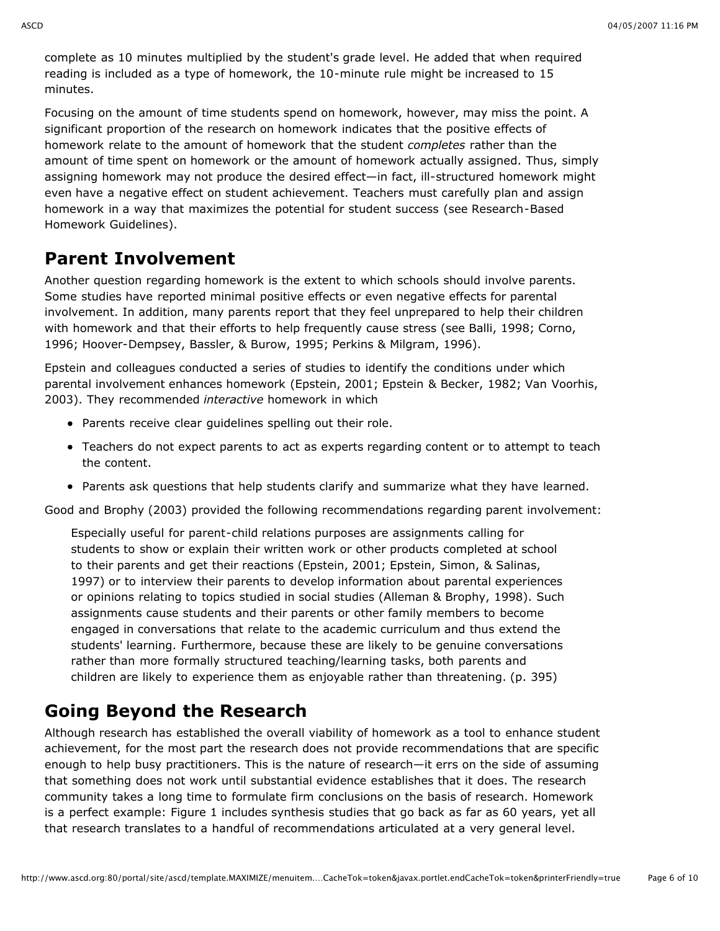complete as 10 minutes multiplied by the student's grade level. He added that when required reading is included as a type of homework, the 10-minute rule might be increased to 15 minutes.

Focusing on the amount of time students spend on homework, however, may miss the point. A significant proportion of the research on homework indicates that the positive effects of homework relate to the amount of homework that the student *completes* rather than the amount of time spent on homework or the amount of homework actually assigned. Thus, simply assigning homework may not produce the desired effect—in fact, ill-structured homework might even have a negative effect on student achievement. Teachers must carefully plan and assign homework in a way that maximizes the potential for student success (see Research-Based Homework Guidelines).

#### **Parent Involvement**

Another question regarding homework is the extent to which schools should involve parents. Some studies have reported minimal positive effects or even negative effects for parental involvement. In addition, many parents report that they feel unprepared to help their children with homework and that their efforts to help frequently cause stress (see Balli, 1998; Corno, 1996; Hoover-Dempsey, Bassler, & Burow, 1995; Perkins & Milgram, 1996).

Epstein and colleagues conducted a series of studies to identify the conditions under which parental involvement enhances homework (Epstein, 2001; Epstein & Becker, 1982; Van Voorhis, 2003). They recommended *interactive* homework in which

- Parents receive clear guidelines spelling out their role.
- Teachers do not expect parents to act as experts regarding content or to attempt to teach the content.
- Parents ask questions that help students clarify and summarize what they have learned.

Good and Brophy (2003) provided the following recommendations regarding parent involvement:

Especially useful for parent-child relations purposes are assignments calling for students to show or explain their written work or other products completed at school to their parents and get their reactions (Epstein, 2001; Epstein, Simon, & Salinas, 1997) or to interview their parents to develop information about parental experiences or opinions relating to topics studied in social studies (Alleman & Brophy, 1998). Such assignments cause students and their parents or other family members to become engaged in conversations that relate to the academic curriculum and thus extend the students' learning. Furthermore, because these are likely to be genuine conversations rather than more formally structured teaching/learning tasks, both parents and children are likely to experience them as enjoyable rather than threatening. (p. 395)

### **Going Beyond the Research**

Although research has established the overall viability of homework as a tool to enhance student achievement, for the most part the research does not provide recommendations that are specific enough to help busy practitioners. This is the nature of research—it errs on the side of assuming that something does not work until substantial evidence establishes that it does. The research community takes a long time to formulate firm conclusions on the basis of research. Homework is a perfect example: Figure 1 includes synthesis studies that go back as far as 60 years, yet all that research translates to a handful of recommendations articulated at a very general level.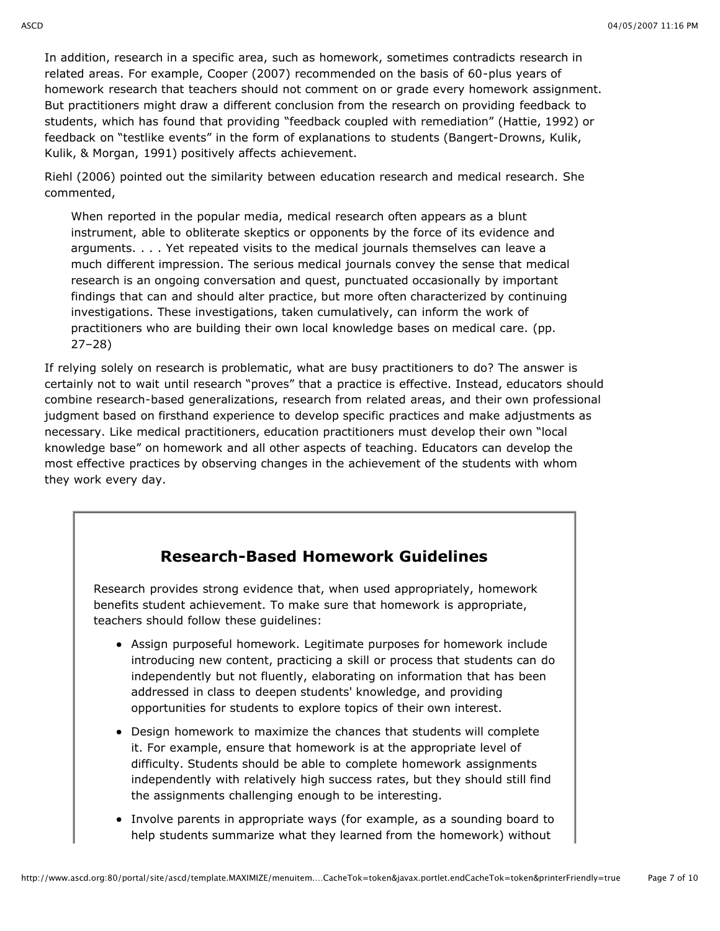In addition, research in a specific area, such as homework, sometimes contradicts research in related areas. For example, Cooper (2007) recommended on the basis of 60-plus years of homework research that teachers should not comment on or grade every homework assignment. But practitioners might draw a different conclusion from the research on providing feedback to students, which has found that providing "feedback coupled with remediation" (Hattie, 1992) or feedback on "testlike events" in the form of explanations to students (Bangert-Drowns, Kulik, Kulik, & Morgan, 1991) positively affects achievement.

Riehl (2006) pointed out the similarity between education research and medical research. She commented,

When reported in the popular media, medical research often appears as a blunt instrument, able to obliterate skeptics or opponents by the force of its evidence and arguments. . . . Yet repeated visits to the medical journals themselves can leave a much different impression. The serious medical journals convey the sense that medical research is an ongoing conversation and quest, punctuated occasionally by important findings that can and should alter practice, but more often characterized by continuing investigations. These investigations, taken cumulatively, can inform the work of practitioners who are building their own local knowledge bases on medical care. (pp. 27–28)

If relying solely on research is problematic, what are busy practitioners to do? The answer is certainly not to wait until research "proves" that a practice is effective. Instead, educators should combine research-based generalizations, research from related areas, and their own professional judgment based on firsthand experience to develop specific practices and make adjustments as necessary. Like medical practitioners, education practitioners must develop their own "local knowledge base" on homework and all other aspects of teaching. Educators can develop the most effective practices by observing changes in the achievement of the students with whom they work every day.

#### **Research-Based Homework Guidelines**

Research provides strong evidence that, when used appropriately, homework benefits student achievement. To make sure that homework is appropriate, teachers should follow these guidelines:

- Assign purposeful homework. Legitimate purposes for homework include introducing new content, practicing a skill or process that students can do independently but not fluently, elaborating on information that has been addressed in class to deepen students' knowledge, and providing opportunities for students to explore topics of their own interest.
- Design homework to maximize the chances that students will complete it. For example, ensure that homework is at the appropriate level of difficulty. Students should be able to complete homework assignments independently with relatively high success rates, but they should still find the assignments challenging enough to be interesting.
- Involve parents in appropriate ways (for example, as a sounding board to help students summarize what they learned from the homework) without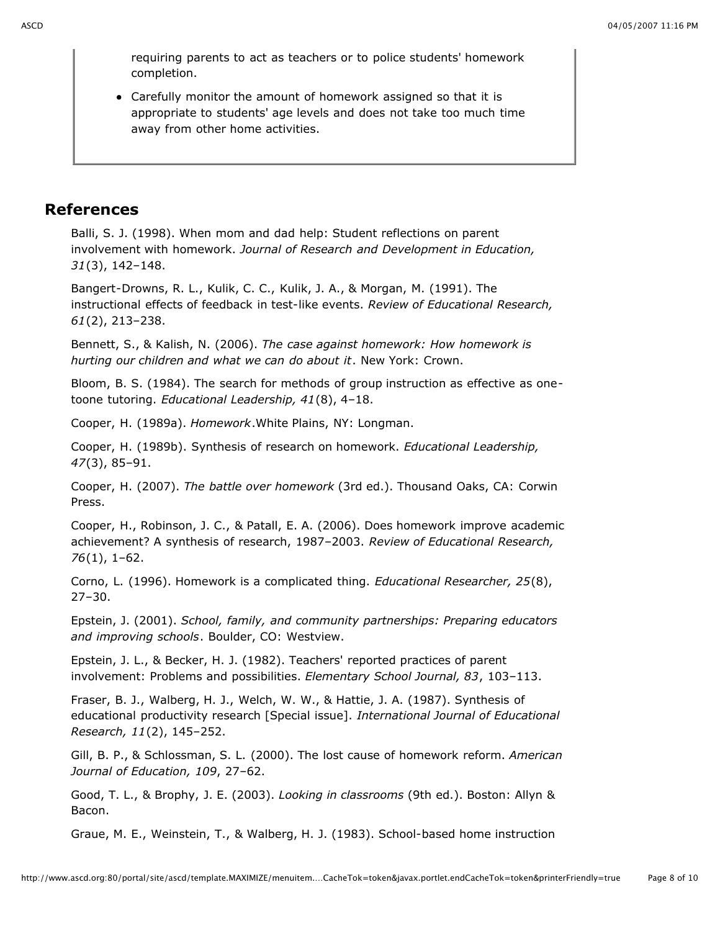requiring parents to act as teachers or to police students' homework completion.

Carefully monitor the amount of homework assigned so that it is appropriate to students' age levels and does not take too much time away from other home activities.

#### **References**

Balli, S. J. (1998). When mom and dad help: Student reflections on parent involvement with homework. *Journal of Research and Development in Education, 31*(3), 142–148.

Bangert-Drowns, R. L., Kulik, C. C., Kulik, J. A., & Morgan, M. (1991). The instructional effects of feedback in test-like events. *Review of Educational Research, 61*(2), 213–238.

Bennett, S., & Kalish, N. (2006). *The case against homework: How homework is hurting our children and what we can do about it*. New York: Crown.

Bloom, B. S. (1984). The search for methods of group instruction as effective as onetoone tutoring. *Educational Leadership, 41*(8), 4–18.

Cooper, H. (1989a). *Homework*.White Plains, NY: Longman.

Cooper, H. (1989b). Synthesis of research on homework. *Educational Leadership, 47*(3), 85–91.

Cooper, H. (2007). *The battle over homework* (3rd ed.). Thousand Oaks, CA: Corwin Press.

Cooper, H., Robinson, J. C., & Patall, E. A. (2006). Does homework improve academic achievement? A synthesis of research, 1987–2003. *Review of Educational Research, 76*(1), 1–62.

Corno, L. (1996). Homework is a complicated thing. *Educational Researcher, 25*(8), 27–30.

Epstein, J. (2001). *School, family, and community partnerships: Preparing educators and improving schools*. Boulder, CO: Westview.

Epstein, J. L., & Becker, H. J. (1982). Teachers' reported practices of parent involvement: Problems and possibilities. *Elementary School Journal, 83*, 103–113.

Fraser, B. J., Walberg, H. J., Welch, W. W., & Hattie, J. A. (1987). Synthesis of educational productivity research [Special issue]. *International Journal of Educational Research, 11*(2), 145–252.

Gill, B. P., & Schlossman, S. L. (2000). The lost cause of homework reform. *American Journal of Education, 109*, 27–62.

Good, T. L., & Brophy, J. E. (2003). *Looking in classrooms* (9th ed.). Boston: Allyn & Bacon.

Graue, M. E., Weinstein, T., & Walberg, H. J. (1983). School-based home instruction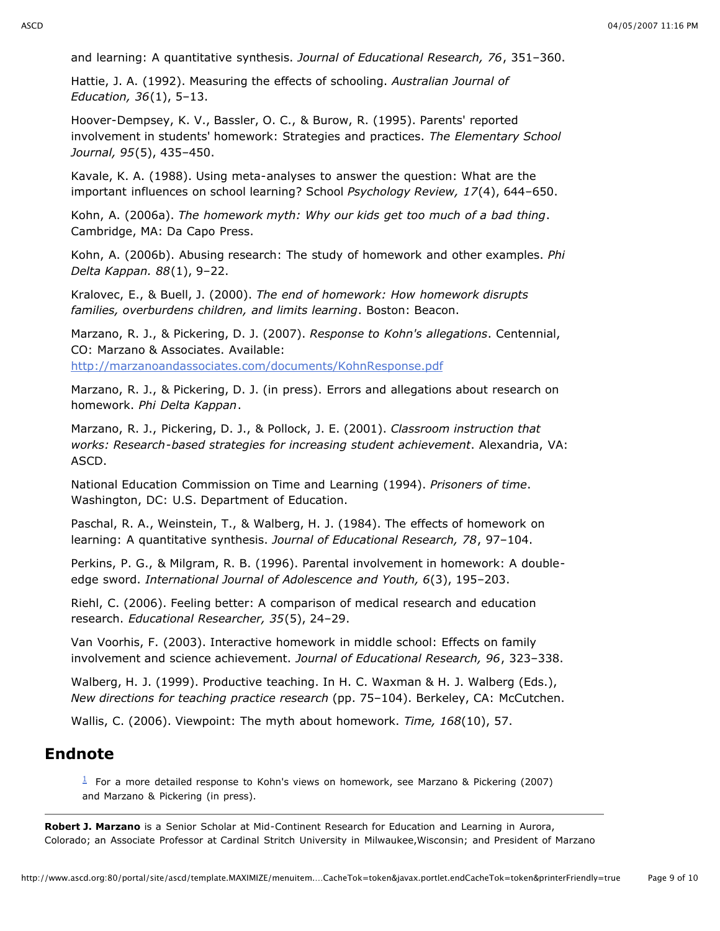and learning: A quantitative synthesis. *Journal of Educational Research, 76*, 351–360.

Hattie, J. A. (1992). Measuring the effects of schooling. *Australian Journal of Education, 36*(1), 5–13.

Hoover-Dempsey, K. V., Bassler, O. C., & Burow, R. (1995). Parents' reported involvement in students' homework: Strategies and practices. *The Elementary School Journal, 95*(5), 435–450.

Kavale, K. A. (1988). Using meta-analyses to answer the question: What are the important influences on school learning? School *Psychology Review, 17*(4), 644–650.

Kohn, A. (2006a). *The homework myth: Why our kids get too much of a bad thing*. Cambridge, MA: Da Capo Press.

Kohn, A. (2006b). Abusing research: The study of homework and other examples. *Phi Delta Kappan. 88*(1), 9–22.

Kralovec, E., & Buell, J. (2000). *The end of homework: How homework disrupts families, overburdens children, and limits learning*. Boston: Beacon.

Marzano, R. J., & Pickering, D. J. (2007). *Response to Kohn's allegations*. Centennial, CO: Marzano & Associates. Available: http://marzanoandassociates.com/documents/KohnResponse.pdf

Marzano, R. J., & Pickering, D. J. (in press). Errors and allegations about research on homework. *Phi Delta Kappan*.

Marzano, R. J., Pickering, D. J., & Pollock, J. E. (2001). *Classroom instruction that works: Research-based strategies for increasing student achievement*. Alexandria, VA: ASCD.

National Education Commission on Time and Learning (1994). *Prisoners of time*. Washington, DC: U.S. Department of Education.

Paschal, R. A., Weinstein, T., & Walberg, H. J. (1984). The effects of homework on learning: A quantitative synthesis. *Journal of Educational Research, 78*, 97–104.

Perkins, P. G., & Milgram, R. B. (1996). Parental involvement in homework: A doubleedge sword. *International Journal of Adolescence and Youth, 6*(3), 195–203.

Riehl, C. (2006). Feeling better: A comparison of medical research and education research. *Educational Researcher, 35*(5), 24–29.

Van Voorhis, F. (2003). Interactive homework in middle school: Effects on family involvement and science achievement. *Journal of Educational Research, 96*, 323–338.

Walberg, H. J. (1999). Productive teaching. In H. C. Waxman & H. J. Walberg (Eds.), *New directions for teaching practice research* (pp. 75–104). Berkeley, CA: McCutchen.

Wallis, C. (2006). Viewpoint: The myth about homework. *Time, 168*(10), 57.

#### **Endnote**

 $\frac{1}{2}$  For a more detailed response to Kohn's views on homework, see Marzano & Pickering (2007) and Marzano & Pickering (in press).

**Robert J. Marzano** is a Senior Scholar at Mid-Continent Research for Education and Learning in Aurora, Colorado; an Associate Professor at Cardinal Stritch University in Milwaukee,Wisconsin; and President of Marzano